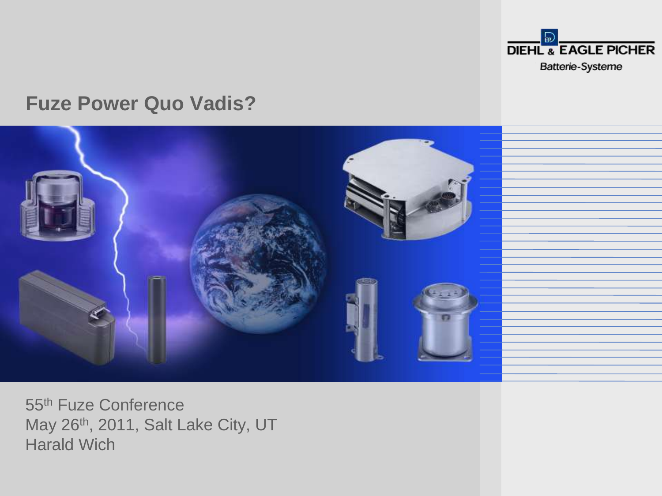

#### **Fuze Power Quo Vadis?**



55th Fuze Conference May 26<sup>th</sup>, 2011, Salt Lake City, UT Harald Wich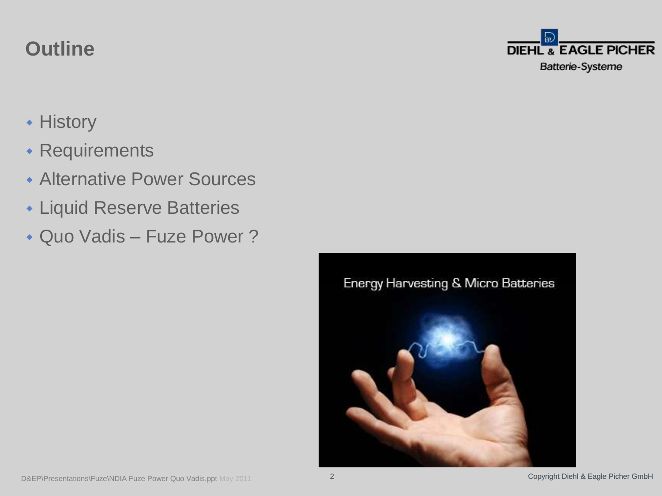## **Outline**

- **+ History**
- Requirements
- Alternative Power Sources
- Liquid Reserve Batteries
- Quo Vadis Fuze Power?



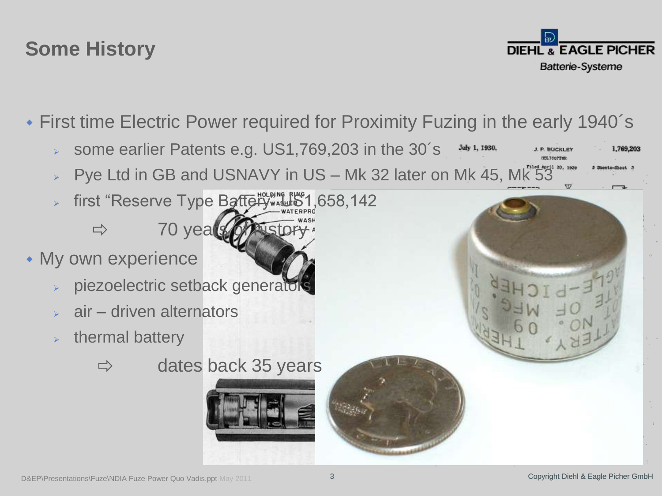# **Some History**

**DIEHL & EAGLE PICHER** Batterie-Systeme

1.769.203

- First time Electric Power required for Proximity Fuzing in the early 1940´s
	- some earlier Patents e.g. US1,769,203 in the 30´s July 1, 1930.
	- Pye Ltd in GB and USNAVY in US Mk 32 later on Mk 45, Mk 53
	- first "Reserve Type Battery" US1,658,142  $\Rightarrow$  70 years of history
- My own experience
	- piezoelectric setback generators
	- air driven alternators
	- thermal battery







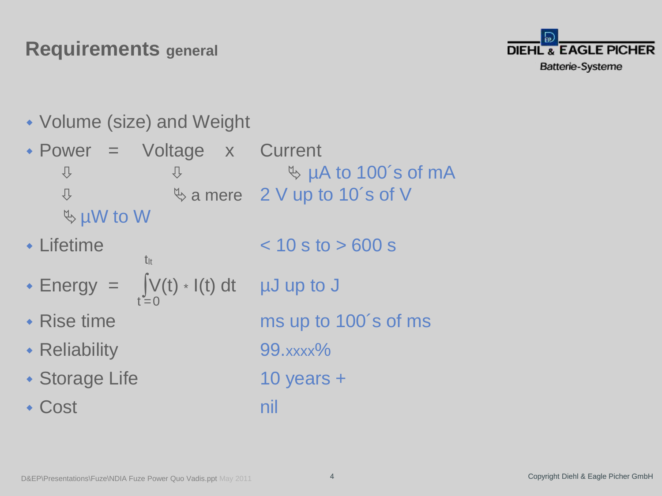## **Requirements general**



Volume (size) and Weight

 Power = Voltage x Current  $\overline{\psi}$  and  $\overline{\psi}$  with  $\overline{\psi}$  and  $\overline{\psi}$  and  $\overline{\psi}$  and  $\overline{\psi}$  and  $\overline{\psi}$  and  $\overline{\psi}$  and  $\overline{\psi}$  and  $\overline{\psi}$  and  $\overline{\psi}$  and  $\overline{\psi}$  and  $\overline{\psi}$  and  $\overline{\psi}$  and  $\overline{\psi}$  and  $\overline{\psi}$  and  $\overline{\psi}$  and  $\sqrt[1]{2}$   $\sqrt[1]{2}$  a mere 2 V up to 10's of V µW to W

- $\cdot$  Lifetime  $\cdot$  10 s to  $> 600$  s tlt
- Energy =  $\int \int (t) \cdot I(t) dt$  µJ up to J  $t = 0$
- Rise time ms up to 100´s of ms
- Reliability 99.xxxx%
- 

• Cost nil

• Storage Life 10 years +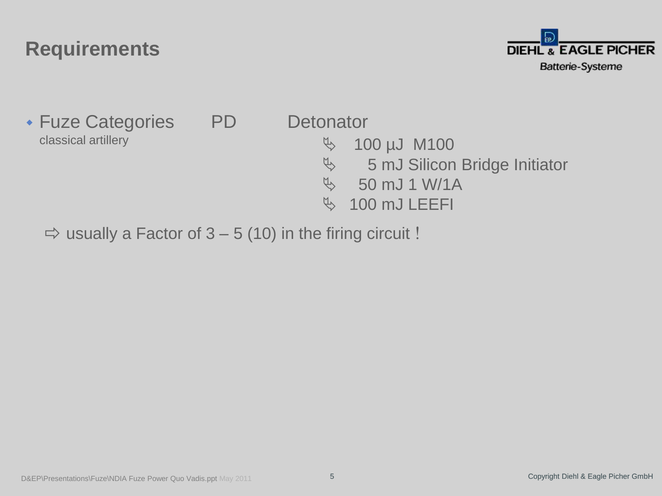

• Fuze Categories PD Detonator classical artillery 100 µJ M100

- 
- **45 mJ Silicon Bridge Initiator**
- $\%$  50 mJ 1 W/1A
- $\%$  100 mJ LEEFI

 $\Rightarrow$  usually a Factor of 3 – 5 (10) in the firing circuit !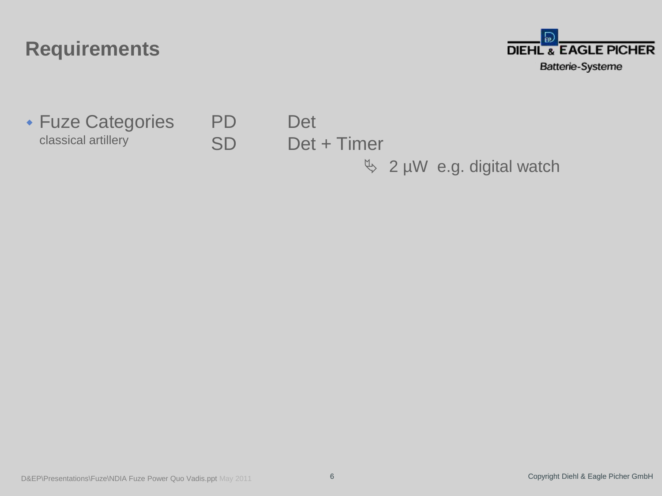

 Fuze Categories PD Det classical artillery SD Det + Timer

 $\%$  2 µW e.g. digital watch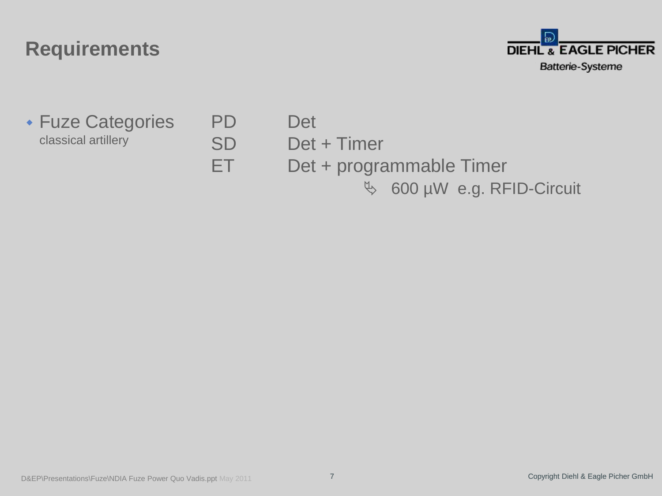

Fuze Categories PD Det

classical artillery SD Det + Timer ET Det + programmable Timer 600 µW e.g. RFID-Circuit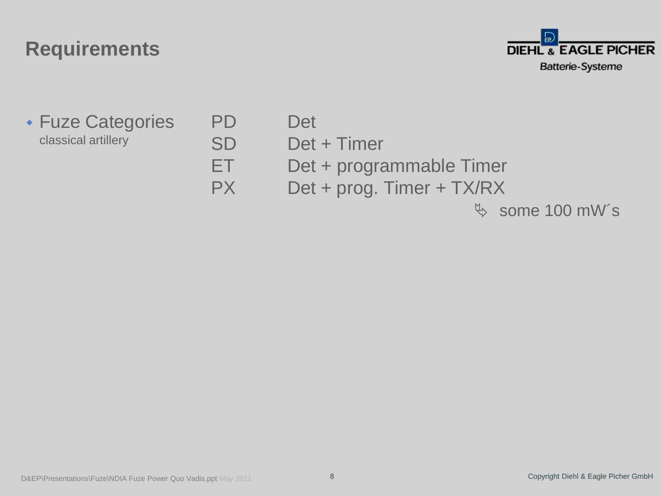

 Fuze Categories PD Det classical artillery SD Det + Timer

- 
- 
- ET Det + programmable Timer
- PX Det + prog. Timer + TX/RX

 $\%$  some 100 mW's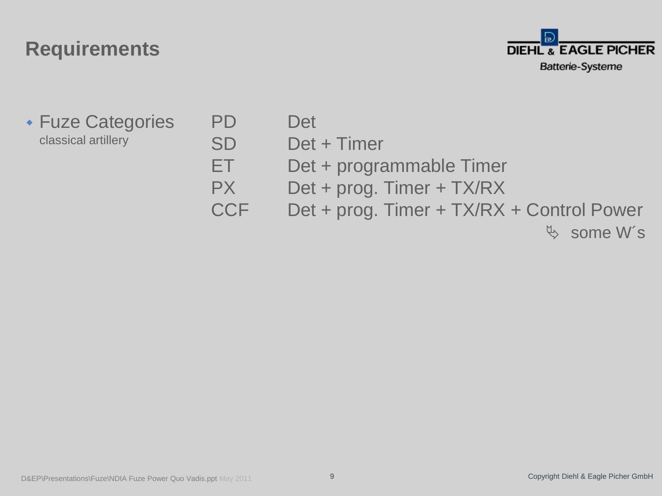

- Fuze Categories PD Det classical artillery SD Det + Timer
	-
	-
	- ET Det + programmable Timer
	- PX Det + prog. Timer + TX/RX
	- CCF Det + prog. Timer + TX/RX + Control Power

 $\&$  some W's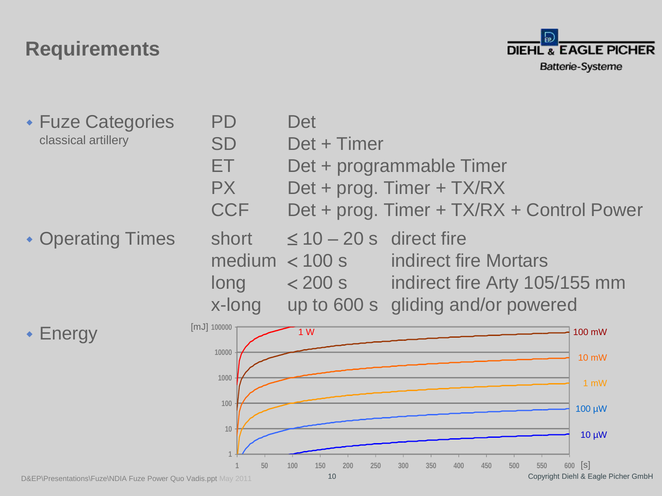

• Fuze Categories PD Det classical artillery SD Det + Timer ET Det + programmable Timer PX Det + prog. Timer + TX/RX CCF Det + prog. Timer + TX/RX + Control Power • Operating Times short  $\leq 10 - 20$  s direct fire medium  $<$  100 s indirect fire Mortars  $long \sim$  200 s indirect fire Arty 105/155 mm x-long up to 600 s gliding and/or powered

Energy

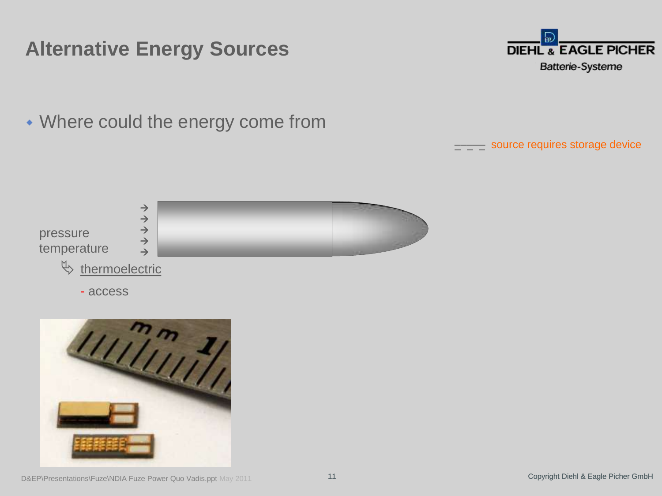

Where could the energy come from

––––– source requires storage device





D&EP\Presentations\Fuze\NDIA Fuze Power Quo Vadis.ppt May 2011 11 11 2000 11 Copyright Diehl & Eagle Picher GmbH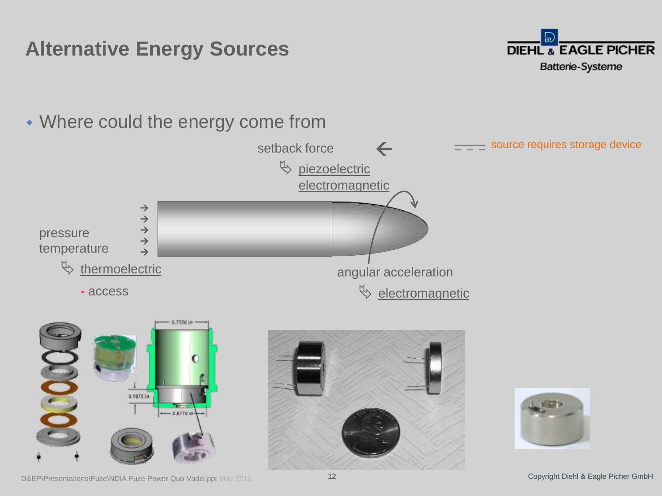

Where could the energy come from

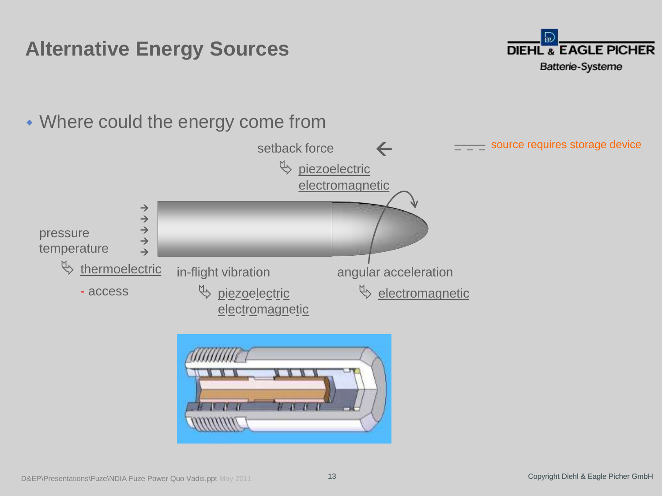

Where could the energy come from



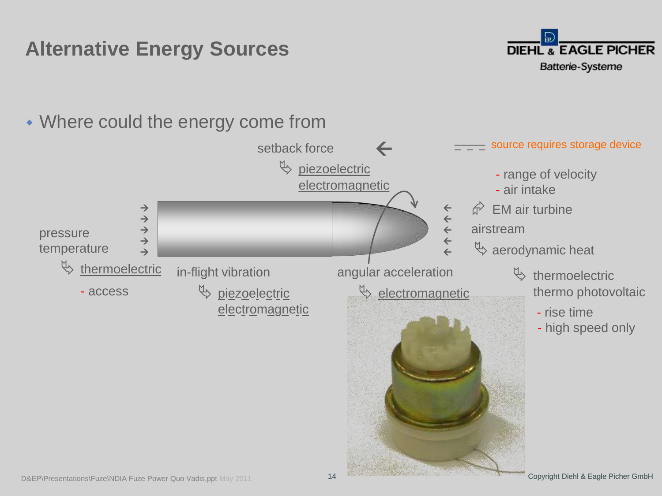

#### D&EP\Presentations\Fuze\NDIA Fuze Power Quo Vadis.ppt May 2011 14 14 22 Copyright Diehl & Eagle Picher GmbH Where could the energy come from  $\rightarrow$  $\rightarrow$  $\rightarrow$  $\rightarrow$  $\rightarrow$ pressure temperature  $\mathfrak{B}$  thermoelectric - access in-flight vibration  $\uplus$  piezoelectric electromagnetic angular acceleration  $\mathbb Q$  electromagnetic  $\leftarrow$  $\leftarrow$  $\leftarrow$  $\leftarrow$  $\leftarrow$  $\widehat{\mathbb{C}}$  EM air turbine airstream  $\mathfrak{B}$  aerodynamic heat  $\mathfrak{B}$  thermoelectric thermo photovoltaic - rise time - high speed only - range of velocity - air intake setback force  $\upphi$  piezoelectric electromagnetic ––––– source requires storage device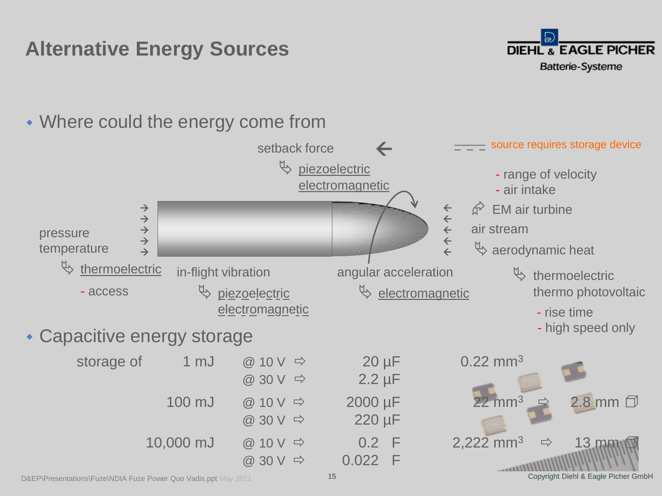



D&EP\Presentations\Fuze\NDIA Fuze Power Quo Vadis.ppt May 2011 15 Copyright Diehl & Eagle Picher GmbH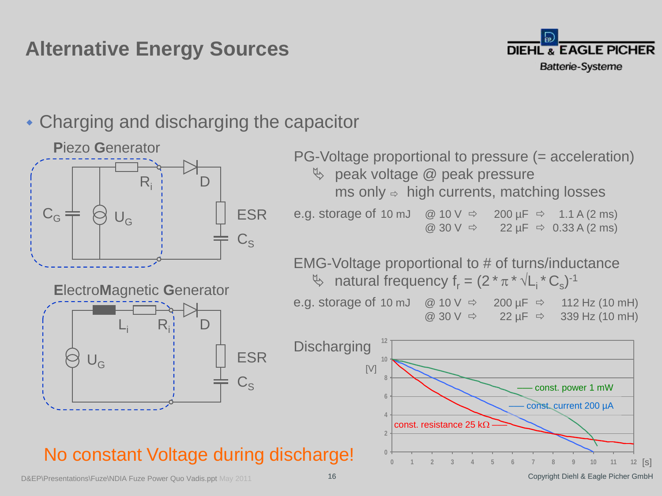

#### Charging and discharging the capacitor



D&EP\Presentations\Fuze\NDIA Fuze Power Quo Vadis.ppt May 2011 16 Copyright Diehl & Eagle Picher GmbH

 $12$  [S]

**0 1 2 3 4 5 6 7 8 9 10 11 12**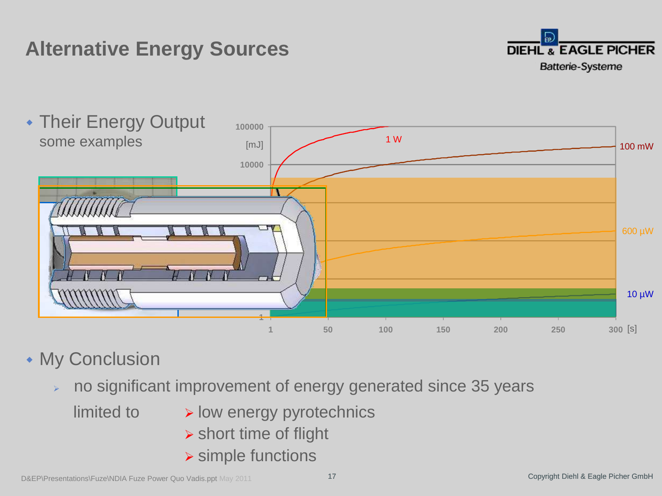



#### **My Conclusion**

no significant improvement of energy generated since 35 years

- $limited to$  > low energy pyrotechnics
	- $\triangleright$  short time of flight
	- **> simple functions**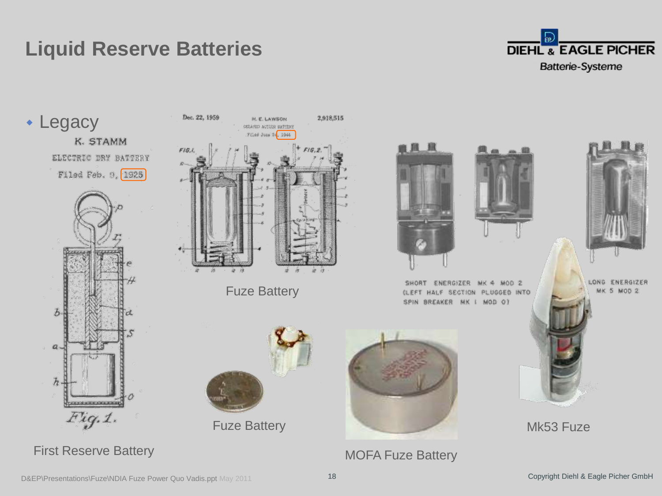# **Liquid Reserve Batteries**





D&EP\Presentations\Fuze\NDIA Fuze Power Quo Vadis.ppt May 2011 18 Copyright Diehl & Eagle Picher GmbH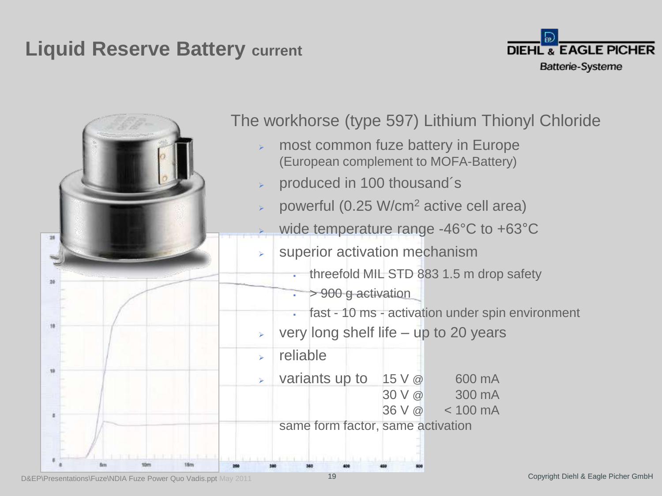### **Liquid Reserve Battery current**



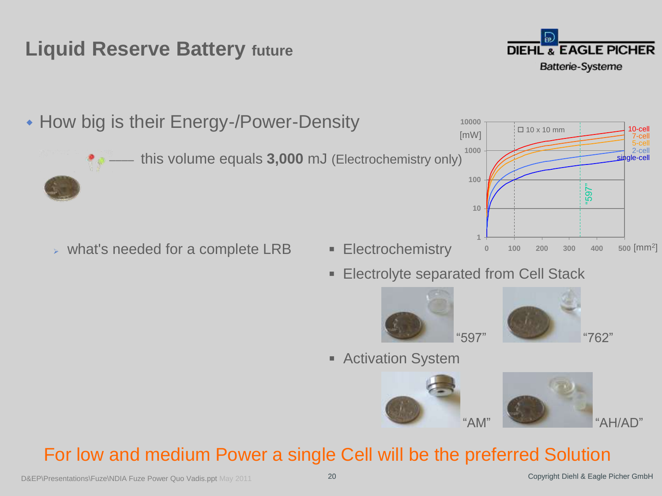## **Liquid Reserve Battery future**



sinale-cel 2-cell 5-cell 7-cell 10-cell

• How big is their Energy-/Power-Density

this volume equals **3,000** mJ (Electrochemistry only) **1000**

- $\triangleright$  what's needed for a complete LRB  $\blacksquare$  Electrochemistry
- - **Electrolyte separated from Cell Stack**

**1**

**10**

**100**

**10000**

[mW]





 $\Box$  10 x 10 mm

**0 100 200 300 400 500** [mm<sup>2</sup> ]

"597"

**Activation System** 



### For low and medium Power a single Cell will be the preferred Solution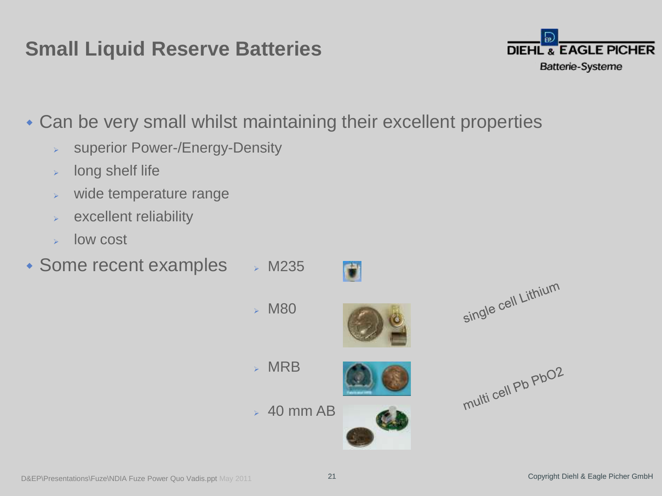## **Small Liquid Reserve Batteries**



Can be very small whilst maintaining their excellent properties

- **> superior Power-/Energy-Density**
- $\triangleright$  long shelf life
- wide temperature range
- excellent reliability
- $\triangleright$  low cost
- $\bullet$  Some recent examples  $\rightarrow$  M235







 $\mathcal{P}$  M80



 $\rightarrow$  40 mm AB



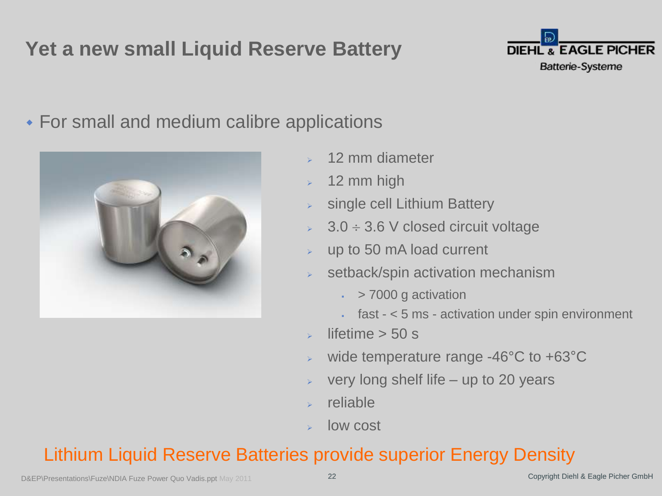# **Yet a new small Liquid Reserve Battery**



For small and medium calibre applications



- 12 mm diameter
- 12 mm high
- single cell Lithium Battery
- $\approx$  3.0  $\div$  3.6 V closed circuit voltage
- up to 50 mA load current
- setback/spin activation mechanism
	- $\cdot$  > 7000 g activation
	- fast < 5 ms activation under spin environment
- lifetime  $> 50$  s
- wide temperature range -46°C to +63°C
- very long shelf life up to 20 years
- reliable
- low cost

### Lithium Liquid Reserve Batteries provide superior Energy Density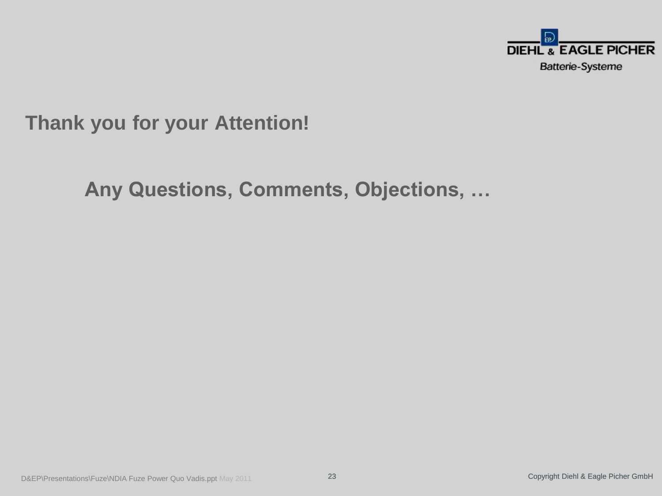

**Thank you for your Attention!**

**Any Questions, Comments, Objections, …**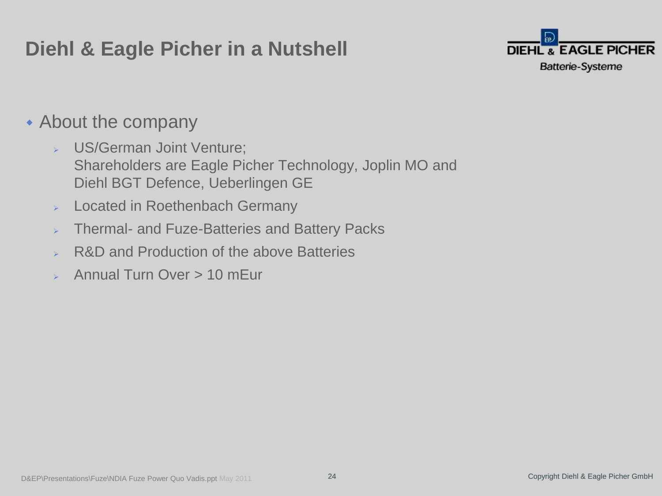# **Diehl & Eagle Picher in a Nutshell**



## • About the company

- US/German Joint Venture; Shareholders are Eagle Picher Technology, Joplin MO and Diehl BGT Defence, Ueberlingen GE
- $\triangleright$  Located in Roethenbach Germany
- Thermal- and Fuze-Batteries and Battery Packs
- **► R&D and Production of the above Batteries**
- Annual Turn Over > 10 mEur